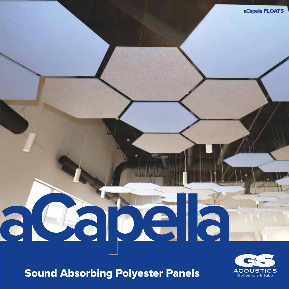# Sound Absorbing Polyester Panels

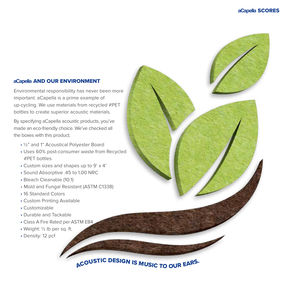#### **aCapella** AND OUR ENVIRONMENT

Environmental responsibility has never been more important. aCapella is a prime example of up-cycling. We use materials from recycled #PET bottles to create superior acoustic materials.

By specifying aCapella acoustic products, you've made an eco-friendly choice. We've checked all the boxes with this product.

- ½" and 1" Acoustical Polyester Board
- Uses 60% post-consumer waste from Recycled #PET bottles
- Custom sizes and shapes up to 9' x 4'
- Sound Absorptive .45 to 1.00 NRC
- Bleach Cleanable (10:1)
- Mold and Fungal Resistant (ASTM C1338)
- 16 Standard Colors
- Custom Printing Available
- Customizable
- Durable and Tackable
- Class A Fire Rated per ASTM E84
- Weight: ½ lb per sq. ft.
- Density: 12 pcf

ACOUSTIC DESIGN IS MUSIC TO OUR EARS.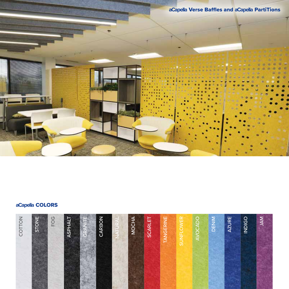aCapella Verse Baffles and aCapella PartiTions

# aCapella COLORS

| COTTON | STONE | FOG | <b>TJAHPISA</b> | GRANITE | CARBON | w<br>$\overline{\phantom{a}}$ | MOCHA | <b>SCARLET</b> | TANGERINE | <b>SUNFLOWER</b> | <b>AVOCADO</b> | <b>DENIM</b> | <b>AZURE</b> | <b>INDIGO</b> | <b>NAV</b> |
|--------|-------|-----|-----------------|---------|--------|-------------------------------|-------|----------------|-----------|------------------|----------------|--------------|--------------|---------------|------------|
|        |       |     |                 |         |        |                               |       |                |           |                  |                |              |              |               |            |
|        |       |     |                 |         |        |                               |       |                |           |                  |                |              |              |               |            |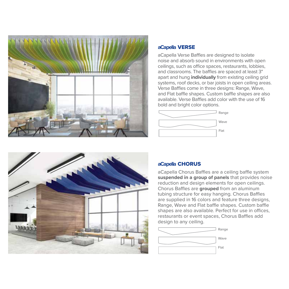

#### **aCapella** VERSE

aCapella Verse Baffles are designed to isolate noise and absorb sound in environments with open ceilings, such as office spaces, restaurants, lobbies, and classrooms. The baffles are spaced at least 3" apart and hung **individually** from existing ceiling grid systems, roof decks, or bar joists in open ceiling areas. Verse Baffles come in three designs: Range, Wave, and Flat baffle shapes. Custom baffle shapes are also available. Verse Baffles add color with the use of 16 bold and bright color options.





# **aCapella** CHORUS

aCapella Chorus Baffles are a ceiling baffle system **suspended in a group of panels** that provides noise reduction and design elements for open ceilings. Chorus Baffles are **grouped** from an aluminum tubing structure for easy hanging. Chorus Baffles are supplied in 16 colors and feature three designs, Range, Wave and Flat baffle shapes. Custom baffle shapes are also available. Perfect for use in offices, restaurants or event spaces, Chorus Baffles add design to any ceiling.

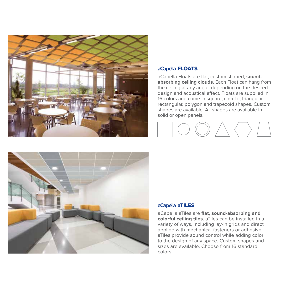

#### **aCapella** FLOATS

aCapella Floats are flat, custom shaped, **soundabsorbing ceiling clouds**. Each Float can hang from the ceiling at any angle, depending on the desired design and acoustical effect. Floats are supplied in 16 colors and come in square, circular, triangular, rectangular, polygon and trapezoid shapes. Custom shapes are available. All shapes are available in solid or open panels.



#### **aCapella** aTILES

aCapella aTiles are **flat, sound-absorbing and colorful ceiling tiles**. aTiles can be installed in a variety of ways, including lay-in grids and direct applied with mechanical fasteners or adhesive. aTiles provide sound control while adding color to the design of any space. Custom shapes and sizes are available. Choose from 16 standard colors.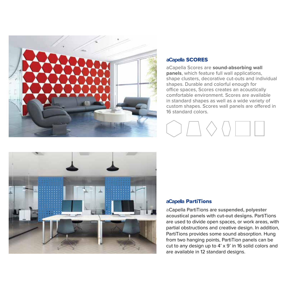

#### **aCapella** SCORES

aCapella Scores are **sound-absorbing wall panels**, which feature full wall applications, shape clusters, decorative cut-outs and individual shapes. Durable and colorful enough for office spaces, Scores creates an acoustically comfortable environment. Scores are available in standard shapes as well as a wide variety of custom shapes. Scores wall panels are offered in 16 standard colors.



### **aCapella** PartiTions

aCapella PartiTions are **suspended, polyester acoustical panels** with **cut-out designs.** PartiTions are used to divide open spaces, or work areas, with partial obstructions and creative design. In addition, PartiTions provides some sound absorption. Hung from two hanging points, PartiTion panels can be cut to any design up to 4' x 9' in 16 solid colors and are available in 12 standard designs.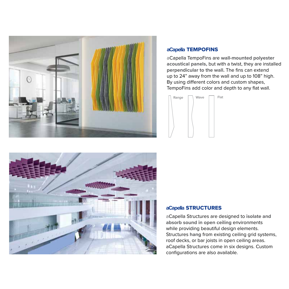

# **aCapella** TEMPOFINS

aCapella TempoFins are **wall-mounted polyester acoustical panels,** but with a twist, they are installed **perpendicular to the wall.** The fins can extend up to 24" away from the wall and up to 108" high. By using different colors and custom shapes, TempoFins add color and depth to any flat wall.





#### **aCapella** STRUCTURES

aCapella Structures are designed to **isolate and absorb sound in open ceiling** environments while providing beautiful design elements. Structures **hang** from existing ceiling grid systems, roof decks, or bar joists in open ceiling areas. aCapella Structures come in six designs. Custom configurations are also available.